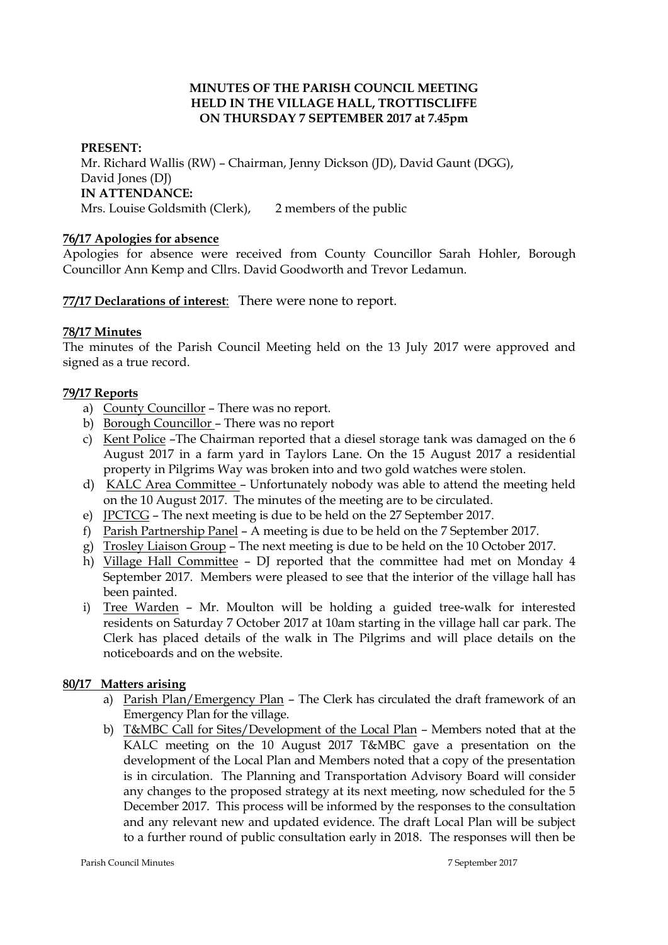### **MINUTES OF THE PARISH COUNCIL MEETING HELD IN THE VILLAGE HALL, TROTTISCLIFFE ON THURSDAY 7 SEPTEMBER 2017 at 7.45pm**

### **PRESENT:**

Mr. Richard Wallis (RW) – Chairman, Jenny Dickson (JD), David Gaunt (DGG), David Jones (DJ) **IN ATTENDANCE:**  Mrs. Louise Goldsmith (Clerk), 2 members of the public

#### **76/17 Apologies for absence**

Apologies for absence were received from County Councillor Sarah Hohler, Borough Councillor Ann Kemp and Cllrs. David Goodworth and Trevor Ledamun.

**77/17 Declarations of interest**: There were none to report.

#### **78/17 Minutes**

The minutes of the Parish Council Meeting held on the 13 July 2017 were approved and signed as a true record.

#### **79/17 Reports**

- a) County Councillor There was no report.
- b) Borough Councillor There was no report
- c) Kent Police –The Chairman reported that a diesel storage tank was damaged on the 6 August 2017 in a farm yard in Taylors Lane. On the 15 August 2017 a residential property in Pilgrims Way was broken into and two gold watches were stolen.
- d) KALC Area Committee Unfortunately nobody was able to attend the meeting held on the 10 August 2017. The minutes of the meeting are to be circulated.
- e) JPCTCG The next meeting is due to be held on the 27 September 2017.
- f) Parish Partnership Panel A meeting is due to be held on the 7 September 2017.
- g) Trosley Liaison Group The next meeting is due to be held on the 10 October 2017.
- h) Village Hall Committee DJ reported that the committee had met on Monday 4 September 2017. Members were pleased to see that the interior of the village hall has been painted.
- i) Tree Warden Mr. Moulton will be holding a guided tree-walk for interested residents on Saturday 7 October 2017 at 10am starting in the village hall car park. The Clerk has placed details of the walk in The Pilgrims and will place details on the noticeboards and on the website.

## **80/17 Matters arising**

- a) Parish Plan/Emergency Plan The Clerk has circulated the draft framework of an Emergency Plan for the village.
- b) T&MBC Call for Sites/Development of the Local Plan Members noted that at the KALC meeting on the 10 August 2017 T&MBC gave a presentation on the development of the Local Plan and Members noted that a copy of the presentation is in circulation. The Planning and Transportation Advisory Board will consider any changes to the proposed strategy at its next meeting, now scheduled for the 5 December 2017. This process will be informed by the responses to the consultation and any relevant new and updated evidence. The draft Local Plan will be subject to a further round of public consultation early in 2018. The responses will then be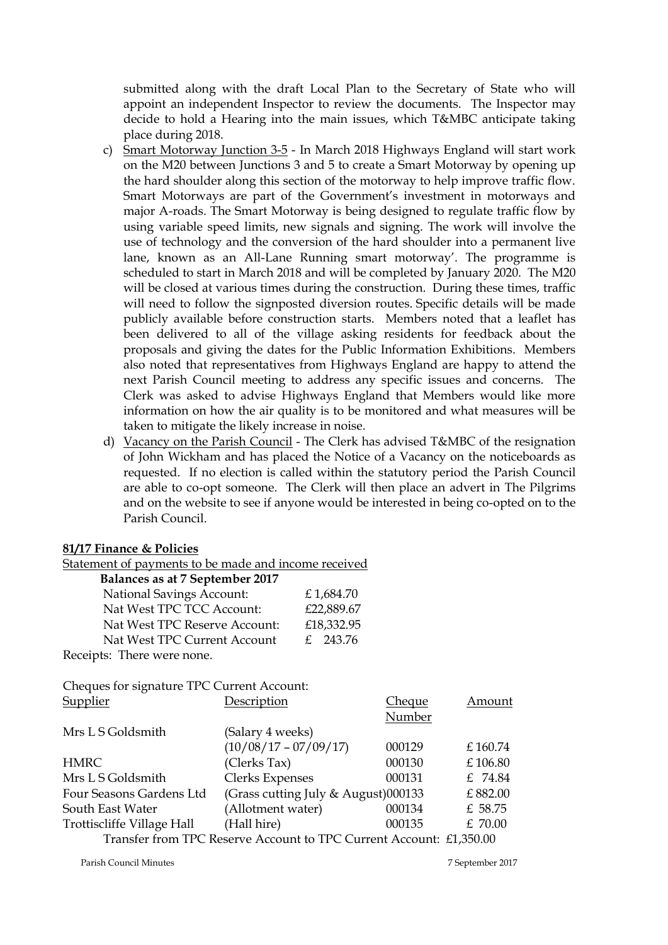submitted along with the draft Local Plan to the Secretary of State who will appoint an independent Inspector to review the documents. The Inspector may decide to hold a Hearing into the main issues, which T&MBC anticipate taking place during 2018.

- c) Smart Motorway Junction 3-5 In March 2018 Highways England will start work on the M20 between Junctions 3 and 5 to create a Smart Motorway by opening up the hard shoulder along this section of the motorway to help improve traffic flow. Smart Motorways are part of the Government's investment in motorways and major A-roads. The Smart Motorway is being designed to regulate traffic flow by using variable speed limits, new signals and signing. The work will involve the use of technology and the conversion of the hard shoulder into a permanent live lane, known as an All-Lane Running smart motorway'. The programme is scheduled to start in March 2018 and will be completed by January 2020. The M20 will be closed at various times during the construction. During these times, traffic will need to follow the signposted diversion routes. Specific details will be made publicly available before construction starts. Members noted that a leaflet has been delivered to all of the village asking residents for feedback about the proposals and giving the dates for the Public Information Exhibitions. Members also noted that representatives from Highways England are happy to attend the next Parish Council meeting to address any specific issues and concerns. The Clerk was asked to advise Highways England that Members would like more information on how the air quality is to be monitored and what measures will be taken to mitigate the likely increase in noise.
- d) Vacancy on the Parish Council The Clerk has advised T&MBC of the resignation of John Wickham and has placed the Notice of a Vacancy on the noticeboards as requested. If no election is called within the statutory period the Parish Council are able to co-opt someone. The Clerk will then place an advert in The Pilgrims and on the website to see if anyone would be interested in being co-opted on to the Parish Council.

#### **81/17 Finance & Policies**

Statement of payments to be made and income received

| Balances as at 7 September 2017 |  |  |  |  |  |  |
|---------------------------------|--|--|--|--|--|--|
|---------------------------------|--|--|--|--|--|--|

| <b>National Savings Account:</b> | £1,684.70  |
|----------------------------------|------------|
| Nat West TPC TCC Account:        | £22,889.67 |
| Nat West TPC Reserve Account:    | £18,332.95 |
| Nat West TPC Current Account     | £ 243.76   |
| Receipts: There were none.       |            |

Cheques for signature TPC Current Account:

| <b>Supplier</b>            | Description                                                         | <u>Cheque</u> | Amount  |
|----------------------------|---------------------------------------------------------------------|---------------|---------|
|                            |                                                                     | Number        |         |
| Mrs L S Goldsmith          | (Salary 4 weeks)                                                    |               |         |
|                            | $(10/08/17 - 07/09/17)$                                             | 000129        | £160.74 |
| <b>HMRC</b>                | (Clerks Tax)                                                        | 000130        | £106.80 |
| Mrs L S Goldsmith          | <b>Clerks Expenses</b>                                              | 000131        | £ 74.84 |
| Four Seasons Gardens Ltd   | (Grass cutting July & August)000133                                 |               | £882.00 |
| South East Water           | (Allotment water)                                                   | 000134        | £ 58.75 |
| Trottiscliffe Village Hall | (Hall hire)                                                         | 000135        | £ 70.00 |
|                            | Transfer from TPC Reserve Account to TPC Current Account: £1,350.00 |               |         |

Parish Council Minutes 7 September 2017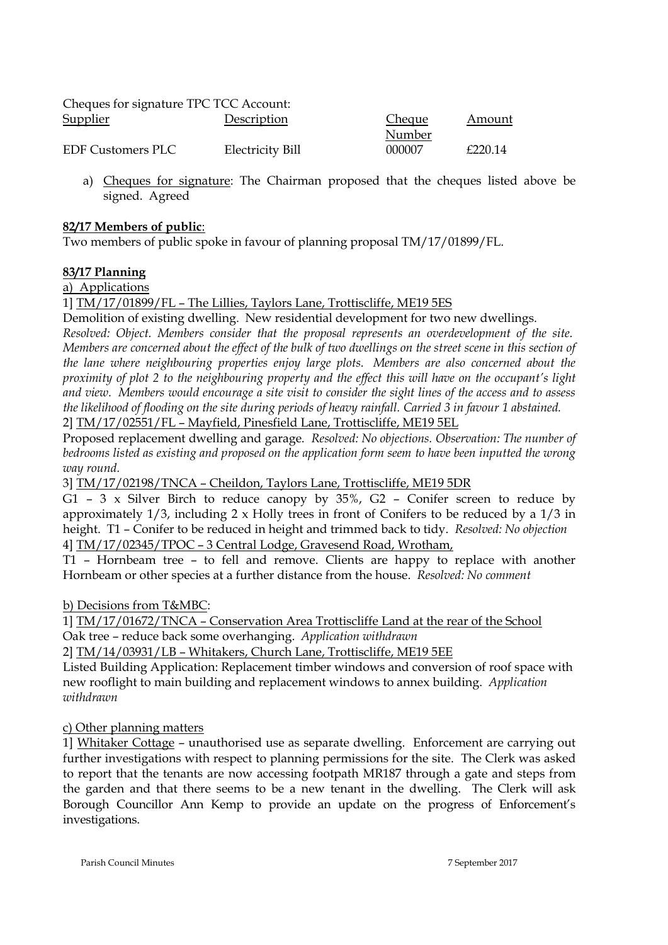| Cheques for signature TPC TCC Account: |                  |        |         |
|----------------------------------------|------------------|--------|---------|
| <b>Supplier</b>                        | Description      | Cheque | Amount  |
|                                        |                  | Number |         |
| <b>EDF Customers PLC</b>               | Electricity Bill | 000007 | f220.14 |

a) Cheques for signature: The Chairman proposed that the cheques listed above be signed. Agreed

## **82/17 Members of public**:

Two members of public spoke in favour of planning proposal TM/17/01899/FL.

## **83/17 Planning**

a) Applications

1] TM/17/01899/FL – The Lillies, Taylors Lane, Trottiscliffe, ME19 5ES

Demolition of existing dwelling. New residential development for two new dwellings.

*Resolved: Object. Members consider that the proposal represents an overdevelopment of the site. Members are concerned about the effect of the bulk of two dwellings on the street scene in this section of the lane where neighbouring properties enjoy large plots. Members are also concerned about the proximity of plot 2 to the neighbouring property and the effect this will have on the occupant's light and view. Members would encourage a site visit to consider the sight lines of the access and to assess the likelihood of flooding on the site during periods of heavy rainfall. Carried 3 in favour 1 abstained.* 2] TM/17/02551/FL – Mayfield, Pinesfield Lane, Trottiscliffe, ME19 5EL

Proposed replacement dwelling and garage. *Resolved: No objections. Observation: The number of bedrooms listed as existing and proposed on the application form seem to have been inputted the wrong way round.*

3] TM/17/02198/TNCA – Cheildon, Taylors Lane, Trottiscliffe, ME19 5DR

G1 – 3 x Silver Birch to reduce canopy by 35%, G2 – Conifer screen to reduce by approximately 1/3, including 2 x Holly trees in front of Conifers to be reduced by a 1/3 in height. T1 – Conifer to be reduced in height and trimmed back to tidy. *Resolved: No objection* 4] TM/17/02345/TPOC – 3 Central Lodge, Gravesend Road, Wrotham,

T1 – Hornbeam tree – to fell and remove. Clients are happy to replace with another Hornbeam or other species at a further distance from the house. *Resolved: No comment*

b) Decisions from T&MBC:

1] TM/17/01672/TNCA – Conservation Area Trottiscliffe Land at the rear of the School Oak tree – reduce back some overhanging. *Application withdrawn*

2] TM/14/03931/LB – Whitakers, Church Lane, Trottiscliffe, ME19 5EE

Listed Building Application: Replacement timber windows and conversion of roof space with new rooflight to main building and replacement windows to annex building. *Application withdrawn*

## c) Other planning matters

1] Whitaker Cottage – unauthorised use as separate dwelling. Enforcement are carrying out further investigations with respect to planning permissions for the site. The Clerk was asked to report that the tenants are now accessing footpath MR187 through a gate and steps from the garden and that there seems to be a new tenant in the dwelling. The Clerk will ask Borough Councillor Ann Kemp to provide an update on the progress of Enforcement's investigations.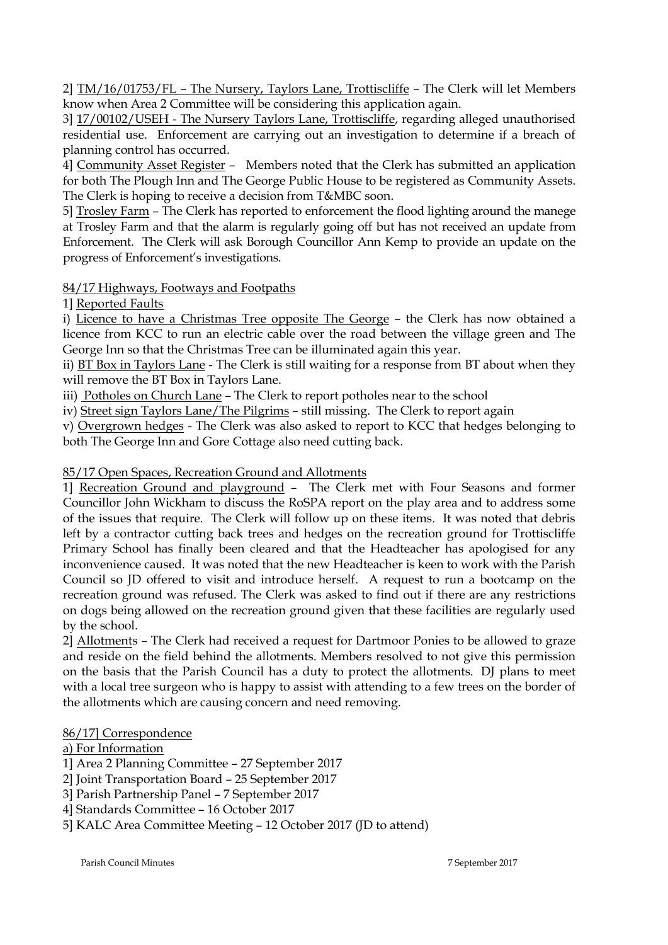2] TM/16/01753/FL – The Nursery, Taylors Lane, Trottiscliffe – The Clerk will let Members know when Area 2 Committee will be considering this application again.

3] 17/00102/USEH - The Nursery Taylors Lane, Trottiscliffe, regarding alleged unauthorised residential use. Enforcement are carrying out an investigation to determine if a breach of planning control has occurred.

4] Community Asset Register – Members noted that the Clerk has submitted an application for both The Plough Inn and The George Public House to be registered as Community Assets. The Clerk is hoping to receive a decision from T&MBC soon.

5] Trosley Farm – The Clerk has reported to enforcement the flood lighting around the manege at Trosley Farm and that the alarm is regularly going off but has not received an update from Enforcement. The Clerk will ask Borough Councillor Ann Kemp to provide an update on the progress of Enforcement's investigations.

# 84/17 Highways, Footways and Footpaths

1] Reported Faults

i) Licence to have a Christmas Tree opposite The George – the Clerk has now obtained a licence from KCC to run an electric cable over the road between the village green and The George Inn so that the Christmas Tree can be illuminated again this year.

ii) BT Box in Taylors Lane - The Clerk is still waiting for a response from BT about when they will remove the BT Box in Taylors Lane.

iii) Potholes on Church Lane - The Clerk to report potholes near to the school

iv) Street sign Taylors Lane/The Pilgrims – still missing. The Clerk to report again

v) Overgrown hedges - The Clerk was also asked to report to KCC that hedges belonging to both The George Inn and Gore Cottage also need cutting back.

# 85/17 Open Spaces, Recreation Ground and Allotments

1] Recreation Ground and playground – The Clerk met with Four Seasons and former Councillor John Wickham to discuss the RoSPA report on the play area and to address some of the issues that require. The Clerk will follow up on these items. It was noted that debris left by a contractor cutting back trees and hedges on the recreation ground for Trottiscliffe Primary School has finally been cleared and that the Headteacher has apologised for any inconvenience caused. It was noted that the new Headteacher is keen to work with the Parish Council so JD offered to visit and introduce herself. A request to run a bootcamp on the recreation ground was refused. The Clerk was asked to find out if there are any restrictions on dogs being allowed on the recreation ground given that these facilities are regularly used by the school.

2] Allotments – The Clerk had received a request for Dartmoor Ponies to be allowed to graze and reside on the field behind the allotments. Members resolved to not give this permission on the basis that the Parish Council has a duty to protect the allotments. DJ plans to meet with a local tree surgeon who is happy to assist with attending to a few trees on the border of the allotments which are causing concern and need removing.

# 86/17] Correspondence

# a) For Information

1] Area 2 Planning Committee – 27 September 2017

2] Joint Transportation Board – 25 September 2017

- 3] Parish Partnership Panel 7 September 2017
- 4] Standards Committee 16 October 2017

5] KALC Area Committee Meeting – 12 October 2017 (JD to attend)